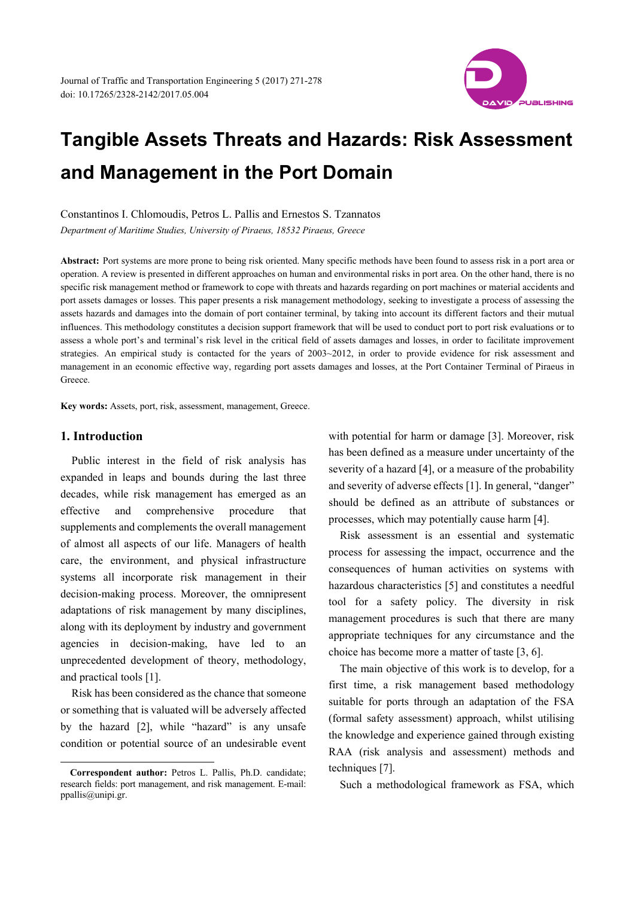

Constantinos I. Chlomoudis, Petros L. Pallis and Ernestos S. Tzannatos

*Department of Maritime Studies, University of Piraeus, 18532 Piraeus, Greece* 

**Abstract:** Port systems are more prone to being risk oriented. Many specific methods have been found to assess risk in a port area or operation. A review is presented in different approaches on human and environmental risks in port area. On the other hand, there is no specific risk management method or framework to cope with threats and hazards regarding on port machines or material accidents and port assets damages or losses. This paper presents a risk management methodology, seeking to investigate a process of assessing the assets hazards and damages into the domain of port container terminal, by taking into account its different factors and their mutual influences. This methodology constitutes a decision support framework that will be used to conduct port to port risk evaluations or to assess a whole port's and terminal's risk level in the critical field of assets damages and losses, in order to facilitate improvement strategies. An empirical study is contacted for the years of 2003~2012, in order to provide evidence for risk assessment and management in an economic effective way, regarding port assets damages and losses, at the Port Container Terminal of Piraeus in Greece.

**Key words:** Assets, port, risk, assessment, management, Greece.

## **1. Introduction**

 $\overline{a}$ 

Public interest in the field of risk analysis has expanded in leaps and bounds during the last three decades, while risk management has emerged as an effective and comprehensive procedure that supplements and complements the overall management of almost all aspects of our life. Managers of health care, the environment, and physical infrastructure systems all incorporate risk management in their decision-making process. Moreover, the omnipresent adaptations of risk management by many disciplines, along with its deployment by industry and government agencies in decision-making, have led to an unprecedented development of theory, methodology, and practical tools [1].

Risk has been considered as the chance that someone or something that is valuated will be adversely affected by the hazard [2], while "hazard" is any unsafe condition or potential source of an undesirable event with potential for harm or damage [3]. Moreover, risk has been defined as a measure under uncertainty of the severity of a hazard [4], or a measure of the probability and severity of adverse effects [1]. In general, "danger" should be defined as an attribute of substances or processes, which may potentially cause harm [4].

Risk assessment is an essential and systematic process for assessing the impact, occurrence and the consequences of human activities on systems with hazardous characteristics [5] and constitutes a needful tool for a safety policy. The diversity in risk management procedures is such that there are many appropriate techniques for any circumstance and the choice has become more a matter of taste [3, 6].

The main objective of this work is to develop, for a first time, a risk management based methodology suitable for ports through an adaptation of the FSA (formal safety assessment) approach, whilst utilising the knowledge and experience gained through existing RAA (risk analysis and assessment) methods and techniques [7].

Such a methodological framework as FSA, which

**Correspondent author:** Petros L. Pallis, Ph.D. candidate; research fields: port management, and risk management. E-mail: ppallis@unipi.gr.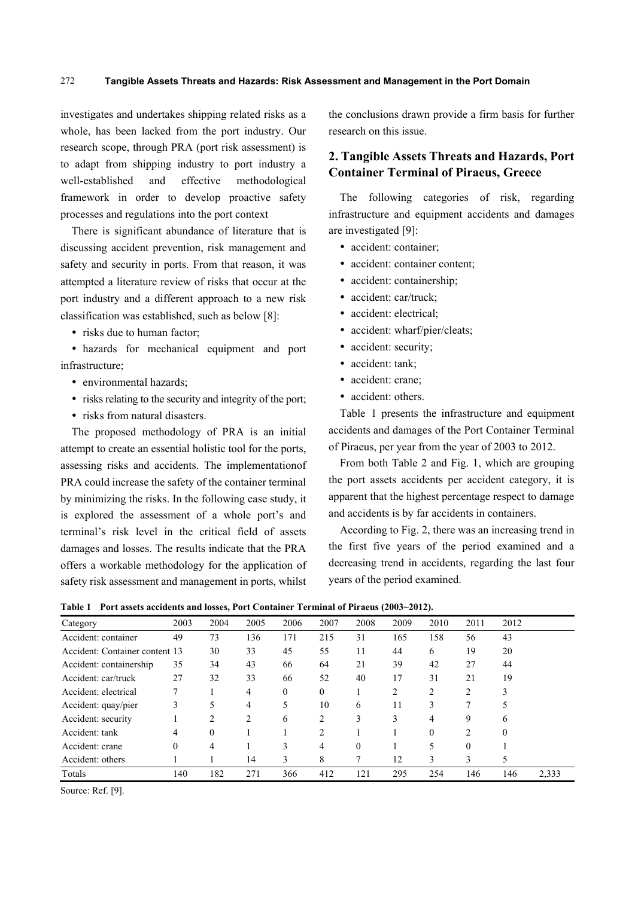investigates and undertakes shipping related risks as a whole, has been lacked from the port industry. Our research scope, through PRA (port risk assessment) is to adapt from shipping industry to port industry a well-established and effective methodological framework in order to develop proactive safety processes and regulations into the port context

There is significant abundance of literature that is discussing accident prevention, risk management and safety and security in ports. From that reason, it was attempted a literature review of risks that occur at the port industry and a different approach to a new risk classification was established, such as below [8]:

• risks due to human factor;

 hazards for mechanical equipment and port infrastructure;

- environmental hazards:
- risks relating to the security and integrity of the port;
- risks from natural disasters.

The proposed methodology of PRA is an initial attempt to create an essential holistic tool for the ports, assessing risks and accidents. The implementationof PRA could increase the safety of the container terminal by minimizing the risks. In the following case study, it is explored the assessment of a whole port's and terminal's risk level in the critical field of assets damages and losses. The results indicate that the PRA offers a workable methodology for the application of safety risk assessment and management in ports, whilst

the conclusions drawn provide a firm basis for further research on this issue.

## **2. Tangible Assets Threats and Hazards, Port Container Terminal of Piraeus, Greece**

The following categories of risk, regarding infrastructure and equipment accidents and damages are investigated [9]:

- accident: container;
- accident: container content;
- accident: containership;
- accident: car/truck;
- accident: electrical;
- accident: wharf/pier/cleats;
- accident: security;
- accident: tank;
- accident: crane:
- accident: others.

Table 1 presents the infrastructure and equipment accidents and damages of the Port Container Terminal of Piraeus, per year from the year of 2003 to 2012.

From both Table 2 and Fig. 1, which are grouping the port assets accidents per accident category, it is apparent that the highest percentage respect to damage and accidents is by far accidents in containers.

According to Fig. 2, there was an increasing trend in the first five years of the period examined and a decreasing trend in accidents, regarding the last four years of the period examined.

| $1.01$ , assets accurating and respect for Container Terminal of Financial (2006) 2012 $\mu$ |          |          |      |          |          |          |      |                  |          |          |       |
|----------------------------------------------------------------------------------------------|----------|----------|------|----------|----------|----------|------|------------------|----------|----------|-------|
| Category                                                                                     | 2003     | 2004     | 2005 | 2006     | 2007     | 2008     | 2009 | 2010             | 2011     | 2012     |       |
| Accident: container                                                                          | 49       | 73       | 136  | 171      | 215      | 31       | 165  | 158              | 56       | 43       |       |
| Accident: Container content 13                                                               |          | 30       | 33   | 45       | 55       | 11       | 44   | 6                | 19       | 20       |       |
| Accident: containership                                                                      | 35       | 34       | 43   | 66       | 64       | 21       | 39   | 42               | 27       | 44       |       |
| Accident: car/truck                                                                          | 27       | 32       | 33   | 66       | 52       | 40       | 17   | 31               | 21       | 19       |       |
| Accident: electrical                                                                         |          |          | 4    | $\Omega$ | $\theta$ |          | 2    | 2                |          | 3        |       |
| Accident: quay/pier                                                                          | 3        |          | 4    | 5        | 10       | 6        | 11   | 3                |          |          |       |
| Accident: security                                                                           |          | 2        | 2    | 6        | 2        | 3        | 3    | 4                | 9        | 6        |       |
| Accident: tank                                                                               | 4        | $\theta$ |      |          | 2        |          |      | $\boldsymbol{0}$ | 2        | $\theta$ |       |
| Accident: crane                                                                              | $\theta$ | 4        |      | 3        | 4        | $\theta$ |      |                  | $\theta$ |          |       |
| Accident: others                                                                             |          |          | 14   | 3        | 8        |          | 12   | 3                | 3        |          |       |
| Totals                                                                                       | 140      | 182      | 271  | 366      | 412      | 121      | 295  | 254              | 146      | 146      | 2,333 |

**Table 1 Port assets accidents and losses, Port Container Terminal of Piraeus (2003~2012).** 

Source: Ref. [9].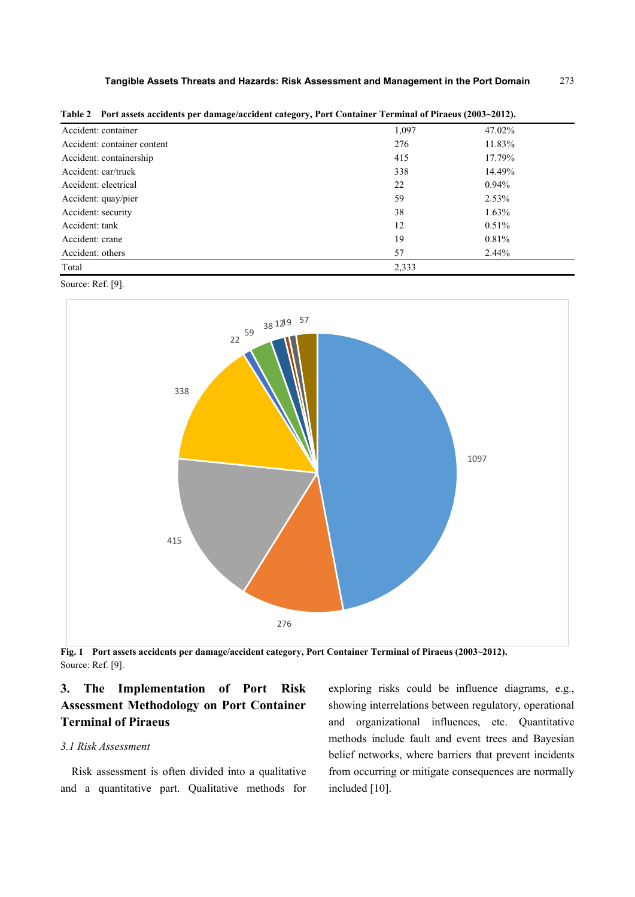| Accident: container         | 1,097 | 47.02%   |
|-----------------------------|-------|----------|
| Accident: container content | 276   | 11.83%   |
| Accident: containership     | 415   | 17.79%   |
| Accident: car/truck         | 338   | 14.49%   |
| Accident: electrical        | 22    | 0.94%    |
| Accident: quay/pier         | 59    | 2.53%    |
| Accident: security          | 38    | $1.63\%$ |
| Accident: tank              | 12    | $0.51\%$ |
| Accident: crane             | 19    | 0.81%    |
| Accident: others            | 57    | $2.44\%$ |
| Total                       | 2,333 |          |

**Table 2 Port assets accidents per damage/accident category, Port Container Terminal of Piraeus (2003~2012).** 

Source: Ref. [9].



**Fig. 1 Port assets accidents per damage/accident category, Port Container Terminal of Piraeus (2003~2012).**  Source: Ref. [9].

# **3. The Implementation of Port Risk Assessment Methodology on Port Container Terminal of Piraeus**

## *3.1 Risk Assessment*

Risk assessment is often divided into a qualitative and a quantitative part. Qualitative methods for exploring risks could be influence diagrams, e.g., showing interrelations between regulatory, operational and organizational influences, etc. Quantitative methods include fault and event trees and Bayesian belief networks, where barriers that prevent incidents from occurring or mitigate consequences are normally included [10].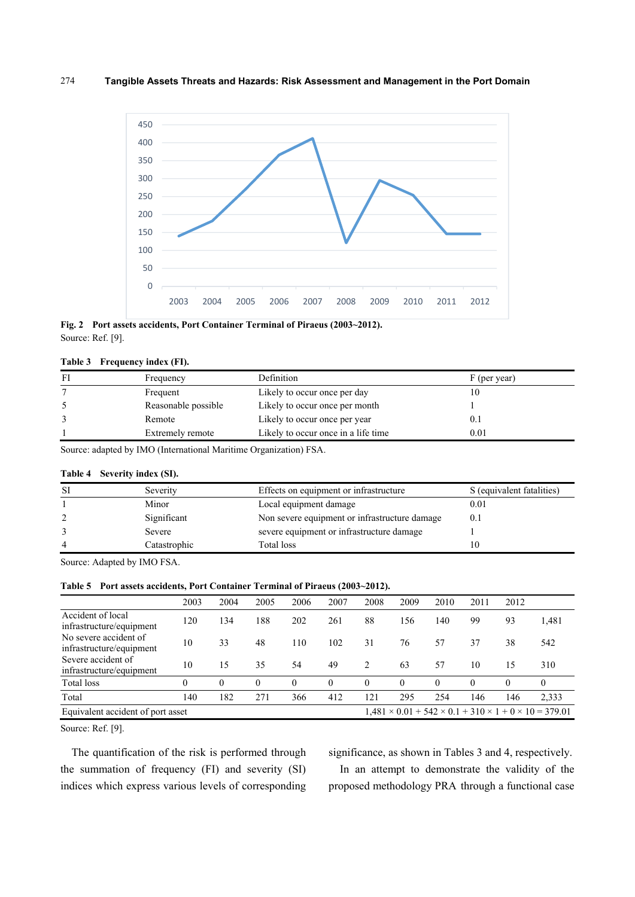

**Fig. 2 Port assets accidents, Port Container Terminal of Piraeus (2003~2012).**  Source: Ref. [9].

### **Table 3 Frequency index (FI).**

| FI | Frequency           | Definition                          | F (per year) |
|----|---------------------|-------------------------------------|--------------|
|    | Frequent            | Likely to occur once per day        | 10           |
|    | Reasonable possible | Likely to occur once per month      |              |
|    | Remote              | Likely to occur once per year       | 0.1          |
|    | Extremely remote    | Likely to occur once in a life time | 0.01         |

Source: adapted by IMO (International Maritime Organization) FSA.

#### **Table 4 Severity index (SI).**

| <b>SI</b> | Severity     | Effects on equipment or infrastructure        | S (equivalent fatalities) |
|-----------|--------------|-----------------------------------------------|---------------------------|
|           | Minor        | Local equipment damage                        | 0.01                      |
|           | Significant  | Non severe equipment or infrastructure damage | 0.1                       |
|           | Severe       | severe equipment or infrastructure damage     |                           |
| 4         | Catastrophic | Total loss                                    | 10                        |

Source: Adapted by IMO FSA.

|  | Table 5 Port assets accidents, Port Container Terminal of Piraeus (2003~2012). |  |
|--|--------------------------------------------------------------------------------|--|
|--|--------------------------------------------------------------------------------|--|

|                                                   | 2003     | 2004     | 2005     | 2006     | 2007     | 2008     | 2009                                                                       | 2010     | 2011 | 2012     |          |
|---------------------------------------------------|----------|----------|----------|----------|----------|----------|----------------------------------------------------------------------------|----------|------|----------|----------|
| Accident of local<br>infrastructure/equipment     | 120      | 134      | 188      | 202      | 261      | 88       | 156                                                                        | 140      | 99   | 93       | 1,481    |
| No severe accident of<br>infrastructure/equipment | 10       | 33       | 48       | 110      | 102      | 31       | 76                                                                         | 57       | 37   | 38       | 542      |
| Severe accident of<br>infrastructure/equipment    | 10       | 15       | 35       | 54       | 49       | 2        | 63                                                                         | 57       | 10   | 15       | 310      |
| Total loss                                        | $\theta$ | $\theta$ | $\theta$ | $\theta$ | $\Omega$ | $\theta$ | $\theta$                                                                   | $\Omega$ | 0    | $\Omega$ | $\theta$ |
| Total                                             | 140      | 182      | 271      | 366      | 412      | 121      | 295                                                                        | 254      | 146  | 146      | 2,333    |
| Equivalent accident of port asset                 |          |          |          |          |          |          | $1,481 \times 0.01 + 542 \times 0.1 + 310 \times 1 + 0 \times 10 = 379.01$ |          |      |          |          |

Source: Ref. [9].

The quantification of the risk is performed through the summation of frequency (FI) and severity (SI) indices which express various levels of corresponding significance, as shown in Tables 3 and 4, respectively.

In an attempt to demonstrate the validity of the proposed methodology PRA through a functional case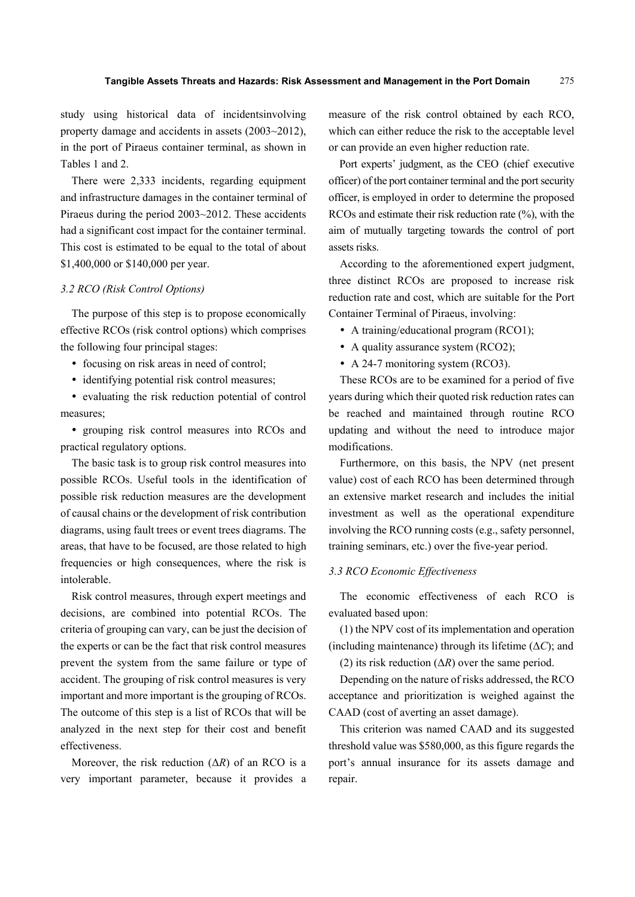study using historical data of incidentsinvolving property damage and accidents in assets (2003~2012), in the port of Piraeus container terminal, as shown in Tables 1 and 2.

There were 2,333 incidents, regarding equipment and infrastructure damages in the container terminal of Piraeus during the period 2003~2012. These accidents had a significant cost impact for the container terminal. This cost is estimated to be equal to the total of about \$1,400,000 or \$140,000 per year.

#### *3.2 RCO (Risk Control Options)*

The purpose of this step is to propose economically effective RCOs (risk control options) which comprises the following four principal stages:

- focusing on risk areas in need of control;
- identifying potential risk control measures;

• evaluating the risk reduction potential of control measures;

 grouping risk control measures into RCOs and practical regulatory options.

The basic task is to group risk control measures into possible RCOs. Useful tools in the identification of possible risk reduction measures are the development of causal chains or the development of risk contribution diagrams, using fault trees or event trees diagrams. The areas, that have to be focused, are those related to high frequencies or high consequences, where the risk is intolerable.

Risk control measures, through expert meetings and decisions, are combined into potential RCOs. The criteria of grouping can vary, can be just the decision of the experts or can be the fact that risk control measures prevent the system from the same failure or type of accident. The grouping of risk control measures is very important and more important is the grouping of RCOs. The outcome of this step is a list of RCOs that will be analyzed in the next step for their cost and benefit effectiveness.

Moreover, the risk reduction  $(\Delta R)$  of an RCO is a very important parameter, because it provides a measure of the risk control obtained by each RCO, which can either reduce the risk to the acceptable level or can provide an even higher reduction rate.

Port experts' judgment, as the CEO (chief executive officer) of the port container terminal and the port security officer, is employed in order to determine the proposed RCOs and estimate their risk reduction rate (%), with the aim of mutually targeting towards the control of port assets risks.

According to the aforementioned expert judgment, three distinct RCOs are proposed to increase risk reduction rate and cost, which are suitable for the Port Container Terminal of Piraeus, involving:

- A training/educational program (RCO1);
- A quality assurance system (RCO2);
- A 24-7 monitoring system (RCO3).

These RCOs are to be examined for a period of five years during which their quoted risk reduction rates can be reached and maintained through routine RCO updating and without the need to introduce major modifications.

Furthermore, on this basis, the NPV (net present value) cost of each RCO has been determined through an extensive market research and includes the initial investment as well as the operational expenditure involving the RCO running costs (e.g., safety personnel, training seminars, etc.) over the five-year period.

#### *3.3 RCO Economic Effectiveness*

The economic effectiveness of each RCO is evaluated based upon:

(1) the NPV cost of its implementation and operation (including maintenance) through its lifetime (Δ*C*); and (2) its risk reduction  $(\Delta R)$  over the same period.

Depending on the nature of risks addressed, the RCO acceptance and prioritization is weighed against the CAAD (cost of averting an asset damage).

This criterion was named CAAD and its suggested threshold value was \$580,000, as this figure regards the port's annual insurance for its assets damage and repair.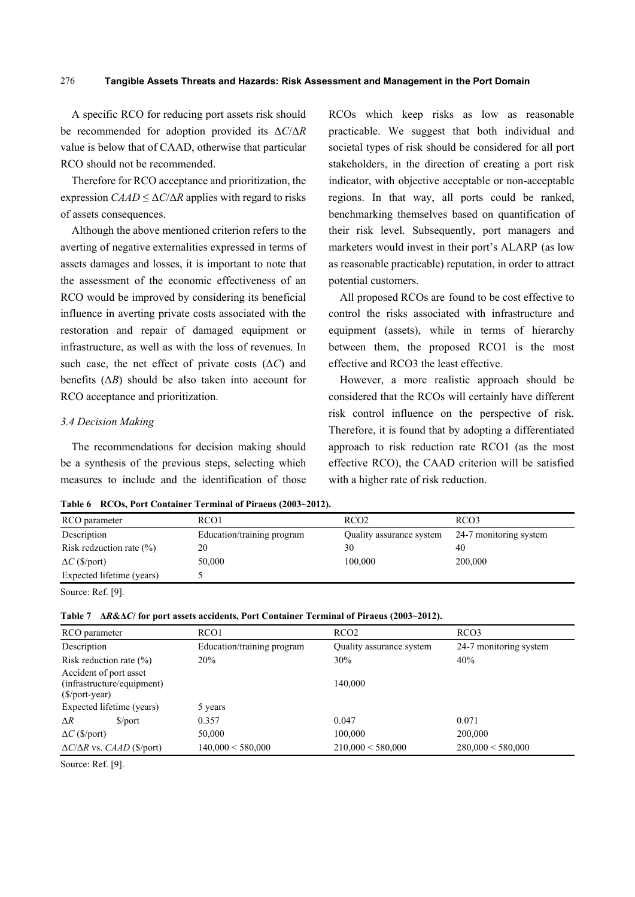A specific RCO for reducing port assets risk should be recommended for adoption provided its Δ*C*/Δ*R* value is below that of CAAD, otherwise that particular RCO should not be recommended.

Therefore for RCO acceptance and prioritization, the expression  $C A A D \leq \Delta C / \Delta R$  applies with regard to risks of assets consequences.

Although the above mentioned criterion refers to the averting of negative externalities expressed in terms of assets damages and losses, it is important to note that the assessment of the economic effectiveness of an RCO would be improved by considering its beneficial influence in averting private costs associated with the restoration and repair of damaged equipment or infrastructure, as well as with the loss of revenues. In such case, the net effect of private costs (Δ*C*) and benefits  $(\Delta B)$  should be also taken into account for RCO acceptance and prioritization.

#### *3.4 Decision Making*

The recommendations for decision making should be a synthesis of the previous steps, selecting which measures to include and the identification of those RCOs which keep risks as low as reasonable practicable. We suggest that both individual and societal types of risk should be considered for all port stakeholders, in the direction of creating a port risk indicator, with objective acceptable or non-acceptable regions. In that way, all ports could be ranked, benchmarking themselves based on quantification of their risk level. Subsequently, port managers and marketers would invest in their port's ALARP (as low as reasonable practicable) reputation, in order to attract potential customers.

All proposed RCOs are found to be cost effective to control the risks associated with infrastructure and equipment (assets), while in terms of hierarchy between them, the proposed RCO1 is the most effective and RCO3 the least effective.

However, a more realistic approach should be considered that the RCOs will certainly have different risk control influence on the perspective of risk. Therefore, it is found that by adopting a differentiated approach to risk reduction rate RCO1 (as the most effective RCO), the CAAD criterion will be satisfied with a higher rate of risk reduction.

**Table 6 RCOs, Port Container Terminal of Piraeus (2003~2012).** 

| RCO parameter               | RCO <sub>1</sub>           | RCO <sub>2</sub>         | RCO <sub>3</sub>       |
|-----------------------------|----------------------------|--------------------------|------------------------|
| Description                 | Education/training program | Quality assurance system | 24-7 monitoring system |
| Risk redzuction rate $(\%)$ | 20                         | 30                       | 40                     |
| $\Delta C$ (\$/port)        | 50,000                     | 100,000                  | 200,000                |
| Expected lifetime (years)   |                            |                          |                        |
|                             |                            |                          |                        |

Source: Ref. [9].

**Table 7 Δ***R***&Δ***C***/ for port assets accidents, Port Container Terminal of Piraeus (2003~2012).** 

| RCO parameter                                                              | RCO <sub>1</sub>           | RCO <sub>2</sub>         | RCO <sub>3</sub>       |
|----------------------------------------------------------------------------|----------------------------|--------------------------|------------------------|
| Description                                                                | Education/training program | Quality assurance system | 24-7 monitoring system |
| Risk reduction rate $(\%)$                                                 | 20%                        | 30%                      | 40%                    |
| Accident of port asset<br>(infrastructure/equipment)<br>$(S\$ {port-year}) |                            | 140,000                  |                        |
| Expected lifetime (years)                                                  | 5 years                    |                          |                        |
| $\Delta R$<br>$\mathcal{S}/\text{port}$                                    | 0.357                      | 0.047                    | 0.071                  |
| $\Delta C$ (\$/port)                                                       | 50,000                     | 100,000                  | 200,000                |
| $\Delta C/\Delta R$ vs. <i>CAAD</i> (\$/port)                              | $140,000 \leq 580,000$     | $210,000 \leq 580,000$   | $280,000 \leq 580,000$ |

Source: Ref. [9].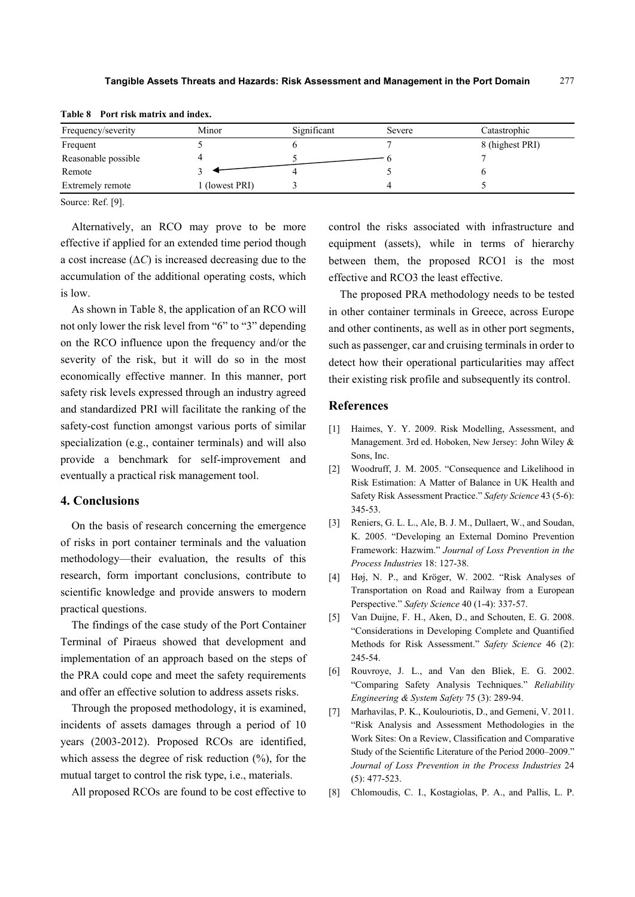| Frequency/severity      | Minor        | Significant | Severe | Catastrophic    |
|-------------------------|--------------|-------------|--------|-----------------|
| Frequent                |              |             |        | 8 (highest PRI) |
| Reasonable possible     |              |             |        |                 |
| Remote                  |              |             |        |                 |
| <b>Extremely remote</b> | (lowest PRI) |             |        |                 |

**Table 8 Port risk matrix and index.** 

Source: Ref. [9].

Alternatively, an RCO may prove to be more effective if applied for an extended time period though a cost increase  $(\Delta C)$  is increased decreasing due to the accumulation of the additional operating costs, which is low.

As shown in Table 8, the application of an RCO will not only lower the risk level from "6" to "3" depending on the RCO influence upon the frequency and/or the severity of the risk, but it will do so in the most economically effective manner. In this manner, port safety risk levels expressed through an industry agreed and standardized PRI will facilitate the ranking of the safety-cost function amongst various ports of similar specialization (e.g., container terminals) and will also provide a benchmark for self-improvement and eventually a practical risk management tool.

#### **4. Conclusions**

On the basis of research concerning the emergence of risks in port container terminals and the valuation methodology—their evaluation, the results of this research, form important conclusions, contribute to scientific knowledge and provide answers to modern practical questions.

The findings of the case study of the Port Container Terminal of Piraeus showed that development and implementation of an approach based on the steps of the PRA could cope and meet the safety requirements and offer an effective solution to address assets risks.

Through the proposed methodology, it is examined, incidents of assets damages through a period of 10 years (2003-2012). Proposed RCOs are identified, which assess the degree of risk reduction  $(\%)$ , for the mutual target to control the risk type, i.e., materials.

All proposed RCOs are found to be cost effective to

control the risks associated with infrastructure and equipment (assets), while in terms of hierarchy between them, the proposed RCO1 is the most effective and RCO3 the least effective.

The proposed PRA methodology needs to be tested in other container terminals in Greece, across Europe and other continents, as well as in other port segments, such as passenger, car and cruising terminals in order to detect how their operational particularities may affect their existing risk profile and subsequently its control.

#### **References**

- [1] Haimes, Y. Y. 2009. Risk Modelling, Assessment, and Management. 3rd ed. Hoboken, New Jersey: John Wiley & Sons, Inc.
- [2] Woodruff, J. M. 2005. "Consequence and Likelihood in Risk Estimation: A Matter of Balance in UK Health and Safety Risk Assessment Practice." *Safety Science* 43 (5-6): 345-53.
- [3] Reniers, G. L. L., Ale, B. J. M., Dullaert, W., and Soudan, K. 2005. "Developing an External Domino Prevention Framework: Hazwim." *Journal of Loss Prevention in the Process Industries* 18: 127-38.
- [4] Høj, N. P., and Kröger, W. 2002. "Risk Analyses of Transportation on Road and Railway from a European Perspective." *Safety Science* 40 (1-4): 337-57.
- [5] Van Duijne, F. H., Aken, D., and Schouten, E. G. 2008. "Considerations in Developing Complete and Quantified Methods for Risk Assessment." *Safety Science* 46 (2): 245-54.
- [6] Rouvroye, J. L., and Van den Bliek, E. G. 2002. "Comparing Safety Analysis Techniques." *Reliability Engineering & System Safety* 75 (3): 289-94.
- [7] Marhavilas, P. K., Koulouriotis, D., and Gemeni, V. 2011. "Risk Analysis and Assessment Methodologies in the Work Sites: On a Review, Classification and Comparative Study of the Scientific Literature of the Period 2000–2009." *Journal of Loss Prevention in the Process Industries* 24 (5): 477-523.
- [8] Chlomoudis, C. I., Kostagiolas, P. A., and Pallis, L. P.